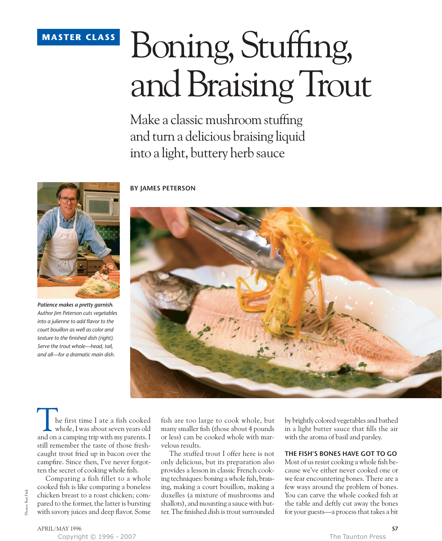### **MASTER CLASS**

# Boning, Stuffing, and Braising Trout

Make a classic mushroom stuffing and turn a delicious braising liquid into a light, buttery herb sauce



*Patience makes a pretty garnish. Author Jim Peterson cuts vegetables into a julienne to add flavor to the court bouillon as well as color and texture to the finished dish (right). Serve the trout whole—head, tail, and all—for a dramatic main dish.*

**BY JAMES PETERSON**



he first time I ate a fish cooked whole, I was about seven years old The first time I ate a fish cooked<br>whole, I was about seven years old<br>and on a camping trip with my parents. I still remember the taste of those freshcaught trout fried up in bacon over the campfire. Since then, I've never forgotten the secret of cooking whole fish.

Comparing a fish fillet to a whole cooked fish is like comparing a boneless chicken breast to a roast chicken; compared to the former, the latter is bursting with savory juices and deep flavor. Some fish are too large to cook whole, but many smaller fish (those about 4 pounds or less) can be cooked whole with marvelous results.

The stuffed trout I offer here is not only delicious, but its preparation also provides a lesson in classic French cooking techniques: boning a whole fish, braising, making a court bouillon, making a duxelles (a mixture of mushrooms and shallots), and mounting a sauce with butter. The finished dish is trout surrounded by brightly colored vegetables and bathed in a light butter sauce that fills the air with the aroma of basil and parsley.

#### **THE FISH'S BONES HAVE GOT TO GO**

Most of us resist cooking a whole fish because we've either never cooked one or we fear encountering bones. There are a few ways around the problem of bones. You can carve the whole cooked fish at the table and deftly cut away the bones for your guests—a process that takes a bit

Photos: Ben Fink

Photos: Ben Finl

Copyright © 1996 - 2007 The Taunton Press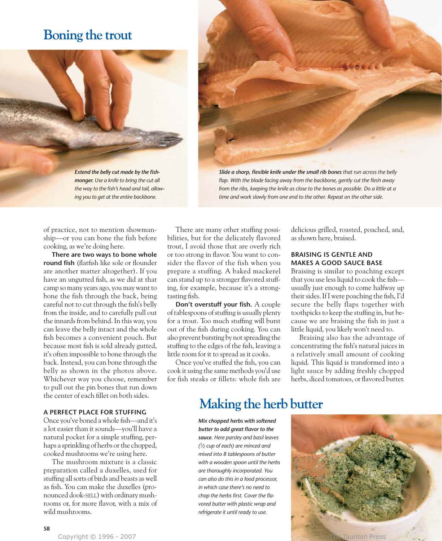## **Boning the trout**





*Slide a sharp, flexible knife under the small rib bones that run across the belly flap. With the blade facing away from the backbone, gently cut the flesh away from the ribs, keeping the knife as close to the bones as possible. Do a little at a time and work slowly from one end to the other. Repeat on the other side.*

of practice, not to mention showmanship—or you can bone the fish before cooking, as we're doing here.

**There are two ways to bone whole round fish** (flatfish like sole or flounder are another matter altogether). If you have an ungutted fish, as we did at that camp so many years ago, you may want to bone the fish through the back, being careful not to cut through the fish's belly from the inside, and to carefully pull out the innards from behind. In this way, you can leave the belly intact and the whole fish becomes a convenient pouch. But because most fish is sold already gutted, it's often impossible to bone through the back. Instead, you can bone through the belly as shown in the photos above. Whichever way you choose, remember to pull out the pin bones that run down the center of each fillet on both sides.

#### **A PERFECT PLACE FOR STUFFING**

Once you've boned a whole fish—and it's a lot easier than it sounds—you'll have a natural pocket for a simple stuffing, perhaps a sprinkling of herbs or the chopped, cooked mushrooms we're using here.

The mushroom mixture is a classic preparation called a duxelles, used for stuffing all sorts of birds and beasts as well as fish. You can make the duxelles (pronounced dook-SELL) with ordinary mushrooms or, for more flavor, with a mix of wild mushrooms.

There are many other stuffing possibilities, but for the delicately flavored trout, I avoid those that are overly rich or too strong in flavor. You want to consider the flavor of the fish when you prepare a stuffing. A baked mackerel can stand up to a stronger flavored stuffing, for example, because it's a strongtasting fish.

**Don't overstuff your fish.** A couple of tablespoons of stuffing is usually plenty for a trout. Too much stuffing will burst out of the fish during cooking. You can also prevent bursting by not spreading the stuffing to the edges of the fish, leaving a little room for it to spread as it cooks.

Once you've stuffed the fish, you can cook it using the same methods you'd use for fish steaks or fillets: whole fish are

delicious grilled, roasted, poached, and, as shown here, braised.

#### **BRAISING IS GENTLE AND MAKES A GOOD SAUCE BASE**

Braising is similar to poaching except that you use less liquid to cook the fish usually just enough to come halfway up their sides. If I were poaching the fish, I'd secure the belly flaps together with toothpicks to keep the stuffing in, but because we are braising the fish in just a little liquid, you likely won't need to.

Braising also has the advantage of concentrating the fish's natural juices in a relatively small amount of cooking liquid. This liquid is transformed into a light sauce by adding freshly chopped herbs, diced tomatoes, or flavored butter.

## **Making the herb butter**

*Mix chopped herbs with softened butter to add great flavor to the sauce. Here parsley and basil leaves (1⁄2 cup of each) are minced and mixed into 8 tablespoons of butter with a wooden spoon until the herbs are thoroughly incorporated. You can also do this in a food processor, in which case there's no need to chop the herbs first. Cover the flavored butter with plastic wrap and refrigerate it until ready to use.*

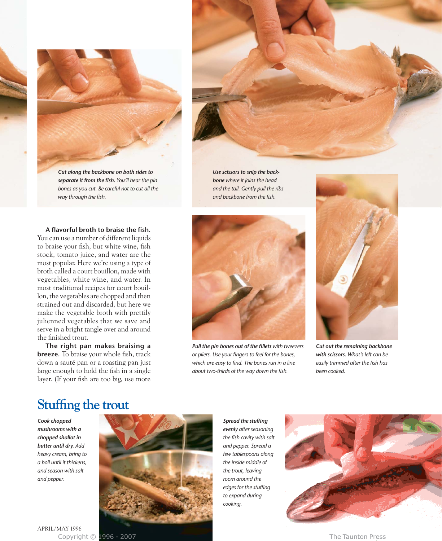

*separate it from the fish. You'll hear the pin bones as you cut. Be careful not to cut all the way through the fish.*

*Use scissors to snip the backbone where it joins the head and the tail. Gently pull the ribs and backbone from the fish.*

**A flavorful broth to braise the fish.** You can use a number of different liquids to braise your fish, but white wine, fish stock, tomato juice, and water are the most popular. Here we're using a type of broth called a court bouillon, made with vegetables, white wine, and water. In most traditional recipes for court bouillon, the vegetables are chopped and then strained out and discarded, but here we make the vegetable broth with prettily julienned vegetables that we save and serve in a bright tangle over and around the finished trout.

**The right pan makes braising a breeze.** To braise your whole fish, track down a sauté pan or a roasting pan just large enough to hold the fish in a single layer. (If your fish are too big, use more



*Pull the pin bones out of the fillets with tweezers or pliers. Use your fingers to feel for the bones, which are easy to find. The bones run in a line about two-thirds of the way down the fish.*



*Cut out the remaining backbone with scissors. What's left can be easily trimmed after the fish has been cooked.*

## **Stuffing the trout**

*Cook chopped mushrooms with a chopped shallot in butter until dry. Add heavy cream, bring to a boil until it thickens, and season with salt and pepper.*



*evenly after seasoning the fish cavity with salt and pepper. Spread a few tablespoons along the inside middle of the trout, leaving room around the edges for the stuffing to expand during cooking.*

*Spread the stuffing*



APRIL/MAY 1996 Copyright © 1996 - 2007 The Taunton Press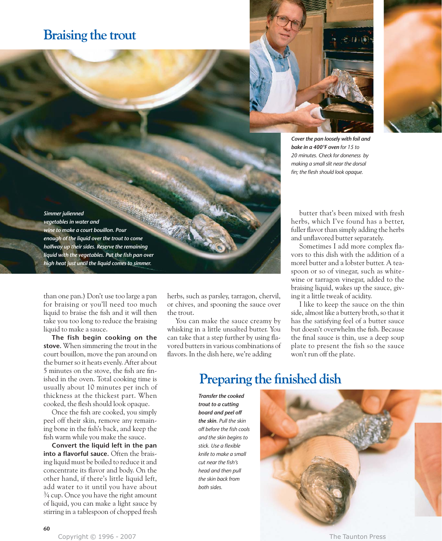## **Braising the trout**





*bake in a 400°F oven for 15 to 20 minutes. Check for doneness by making a small slit near the dorsal fin; the flesh should look opaque.*

*Simmer julienned vegetables in water and wine to make a court bouillon. Pour enough of the liquid over the trout to come halfway up their sides. Reserve the remaining liquid with the vegetables. Put the fish pan over high heat just until the liquid comes to simmer.* 

than one pan.) Don't use too large a pan for braising or you'll need too much liquid to braise the fish and it will then take you too long to reduce the braising liquid to make a sauce.

**The fish begin cooking on the stove.** When simmering the trout in the court bouillon, move the pan around on the burner so it heats evenly. After about 5 minutes on the stove, the fish are finished in the oven. Total cooking time is usually about 10 minutes per inch of thickness at the thickest part. When cooked, the flesh should look opaque.

Once the fish are cooked, you simply peel off their skin, remove any remaining bone in the fish's back, and keep the fish warm while you make the sauce.

**Convert the liquid left in the pan into a flavorful sauce.** Often the braising liquid must be boiled to reduce it and concentrate its flavor and body. On the other hand, if there's little liquid left, add water to it until you have about 3⁄4 cup. Once you have the right amount of liquid, you can make a light sauce by stirring in a tablespoon of chopped fresh herbs, such as parsley, tarragon, chervil, or chives, and spooning the sauce over the trout.

You can make the sauce creamy by whisking in a little unsalted butter. You can take that a step further by using flavored butters in various combinations of flavors. In the dish here, we're adding

butter that's been mixed with fresh herbs, which I've found has a better, fuller flavor than simply adding the herbs and unflavored butter separately.

Sometimes I add more complex flavors to this dish with the addition of a morel butter and a lobster butter. A teaspoon or so of vinegar, such as whitewine or tarragon vinegar, added to the braising liquid, wakes up the sauce, giving it a little tweak of acidity.

I like to keep the sauce on the thin side, almost like a buttery broth, so that it has the satisfying feel of a butter sauce but doesn't overwhelm the fish. Because the final sauce is thin, use a deep soup plate to present the fish so the sauce won't run off the plate.

## **Preparing the finished dish**

*Transfer the cooked trout to a cutting board and peel off the skin. Pull the skin off before the fish cools and the skin begins to stick. Use a flexible knife to make a small cut near the fish's head and then pull the skin back from both sides.*